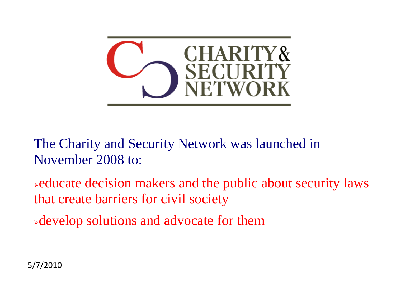

The Charity and Security Network was launched in November 2008 to:

educate decision makers and the public about security laws that create barriers for civil society

develop solutions and advocate for them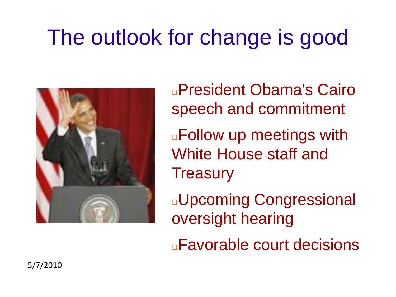# The outlook for change is good



President Obama's Cairo speech and commitment **Example 7 and The Muster** of the Follow up meetings with White House staff and **Treasury** 

Upcoming Congressional oversight hearing

Favorable court decisions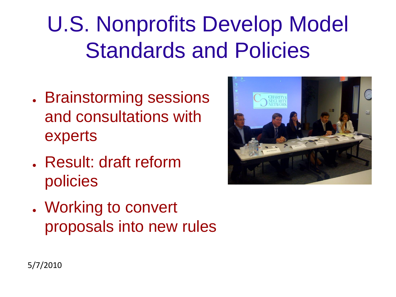# U.S. Nonprofits Develop Model Standards and Policies

- Brainstorming sessions and consultations with experts
- . Result: draft reform policies



. Working to convert proposals into new rules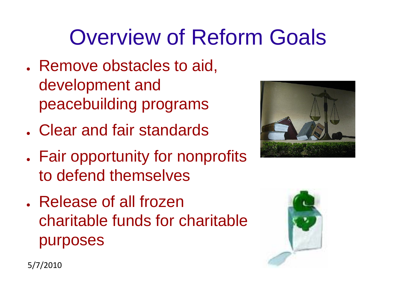# Overview of Reform Goals

- . Remove obstacles to aid, development and peacebuilding programs
- . Clear and fair standards
- Fair opportunity for nonprofits to defend themselves
- . Release of all frozen charitable funds for charitable purposes



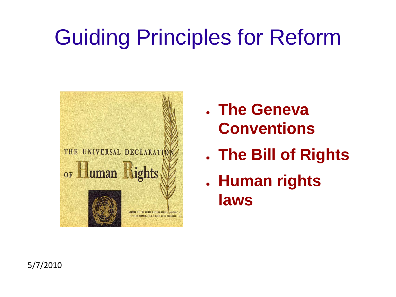# Guiding Principles for Reform



- **The Geneva Conventions**
- **The Bill of Rights**
- **Human rights laws**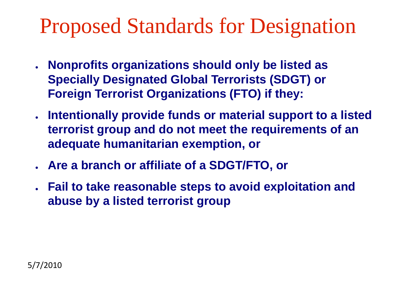### Proposed Standards for Designation

- **Nonprofits organizations should only be listed as Specially Designated Global Terrorists (SDGT) or Foreign Terrorist Organizations (FTO) if they:**
- **Intentionally provide funds or material support to a listed terrorist group and do not meet the requirements of an adequate humanitarian exemption, or**
- **Are a branch or affiliate of a SDGT/FTO, or**
- **Fail to take reasonable steps to avoid exploitation and abuse by a listed terrorist group**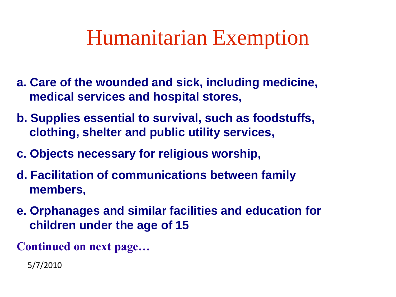### Humanitarian Exemption

- **a. Care of the wounded and sick, including medicine, medical services and hospital stores,**
- **b. Supplies essential to survival, such as foodstuffs, clothing, shelter and public utility services,**
- **c. Objects necessary for religious worship,**
- **d. Facilitation of communications between family members,**
- **e. Orphanages and similar facilities and education for children under the age of 15**

**Continued on next page…**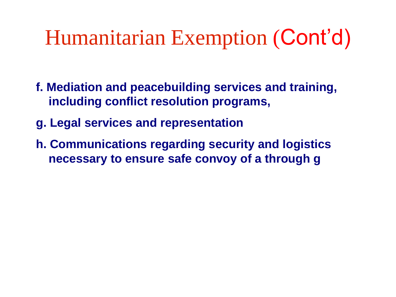### Humanitarian Exemption (Cont'd)

- **f. Mediation and peacebuilding services and training, including conflict resolution programs,**
- **g. Legal services and representation**
- **h. Communications regarding security and logistics necessary to ensure safe convoy of a through g**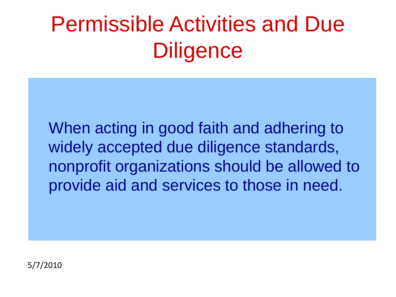# Permissible Activities and Due **Diligence**

When acting in good faith and adhering to widely accepted due diligence standards, nonprofit organizations should be allowed to provide aid and services to those in need.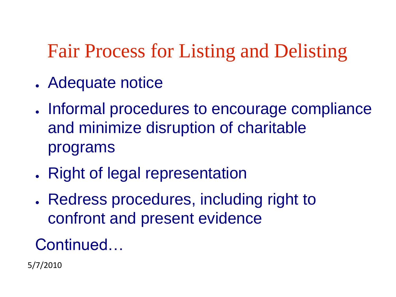### Fair Process for Listing and Delisting

- . Adequate notice
- . Informal procedures to encourage compliance and minimize disruption of charitable programs
- Right of legal representation
- Redress procedures, including right to confront and present evidence

#### Continued…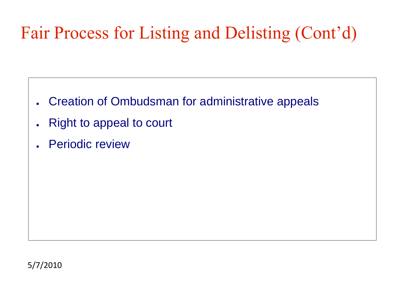### Fair Process for Listing and Delisting (Cont'd)

- Creation of Ombudsman for administrative appeals
- **Right to appeal to court**
- Periodic review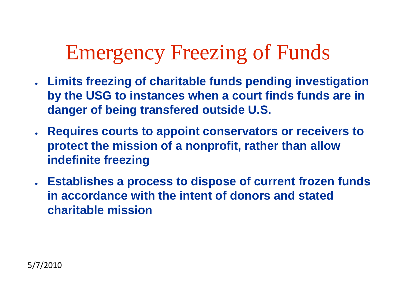### Emergency Freezing of Funds

- **Limits freezing of charitable funds pending investigation by the USG to instances when a court finds funds are in danger of being transfered outside U.S.**
- **Requires courts to appoint conservators or receivers to protect the mission of a nonprofit, rather than allow indefinite freezing**
- **Establishes a process to dispose of current frozen funds in accordance with the intent of donors and stated charitable mission**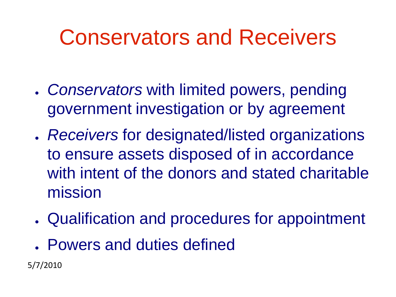## Conservators and Receivers

- *Conservators* with limited powers, pending government investigation or by agreement
- *Receivers* for designated/listed organizations to ensure assets disposed of in accordance with intent of the donors and stated charitable mission
- Qualification and procedures for appointment
- . Powers and duties defined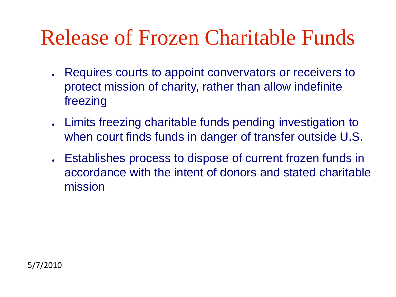### Release of Frozen Charitable Funds

- Requires courts to appoint convervators or receivers to protect mission of charity, rather than allow indefinite freezing
- Limits freezing charitable funds pending investigation to when court finds funds in danger of transfer outside U.S.
- Establishes process to dispose of current frozen funds in accordance with the intent of donors and stated charitable mission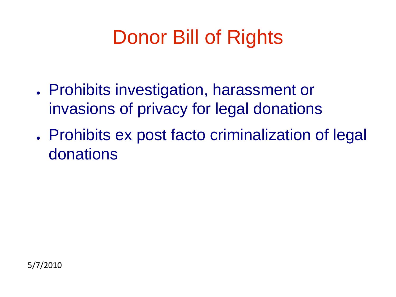### Donor Bill of Rights

- Prohibits investigation, harassment or invasions of privacy for legal donations
- . Prohibits ex post facto criminalization of legal donations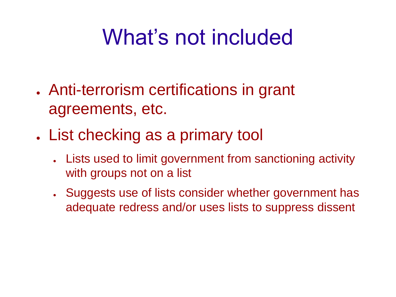# What's not included

- Anti-terrorism certifications in grant agreements, etc.
- . List checking as a primary tool
	- Lists used to limit government from sanctioning activity with groups not on a list
	- . Suggests use of lists consider whether government has adequate redress and/or uses lists to suppress dissent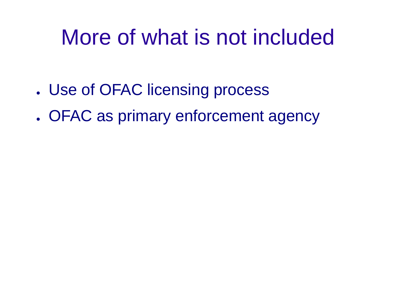# More of what is not included

- . Use of OFAC licensing process
- . OFAC as primary enforcement agency